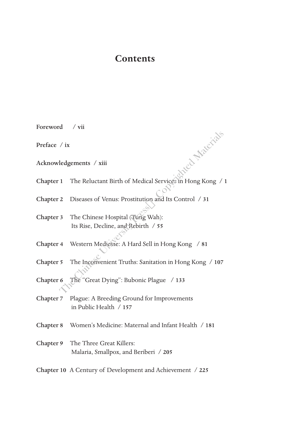## **Contents**

| Foreword / vii |                                                                         |
|----------------|-------------------------------------------------------------------------|
| Preface / ix   |                                                                         |
|                | treat Metrich<br>Acknowledgements / xiii                                |
| Chapter 1      | The Reluctant Birth of Medical Services in Hong Kong / 1                |
| Chapter 2      | Diseases of Venus: Prostitution and Its Control / 31                    |
| Chapter 3      | The Chinese Hospital (Tung Wah):<br>Its Rise, Decline, and Rebirth / 55 |
|                | Chapter 4 Western Medicine: A Hard Sell in Hong Kong / 81               |
| Chapter 5      | The Inconvenient Truths: Sanitation in Hong Kong / 107                  |
| Chapter 6      | The "Great Dying": Bubonic Plague / 133                                 |
| Chapter 7      | Plague: A Breeding Ground for Improvements<br>in Public Health $/157$   |
| Chapter 8      | Women's Medicine: Maternal and Infant Health / 181                      |
| Chapter 9      | The Three Great Killers:<br>Malaria, Smallpox, and Beriberi / 205       |
|                | Chapter 10 A Century of Development and Achievement / 225               |